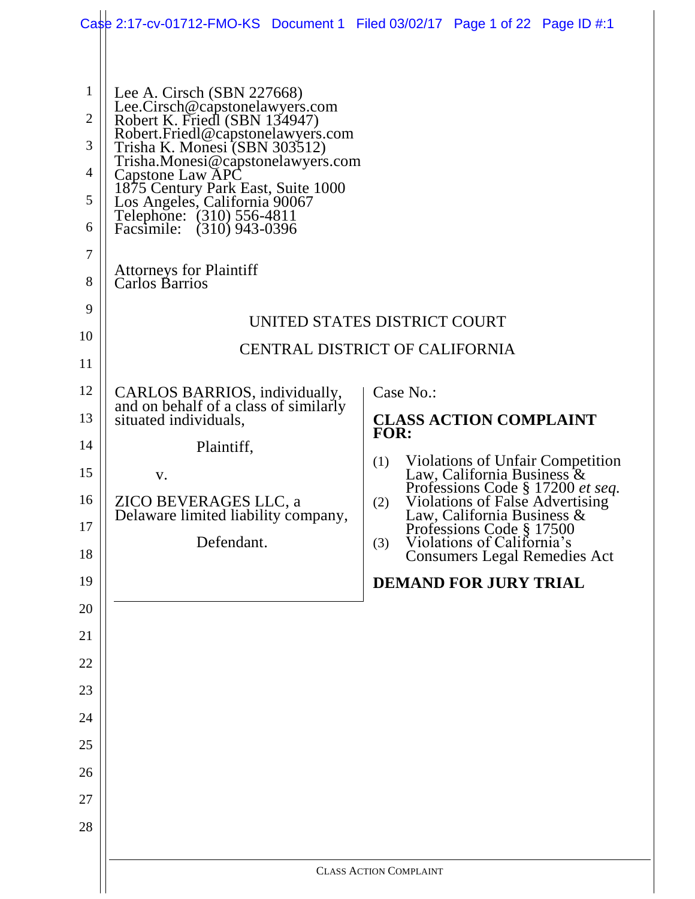|                | Case 2:17-cv-01712-FMO-KS Document 1 Filed 03/02/17 Page 1 of 22 Page ID $\#$ :1                |                                                                                                      |
|----------------|-------------------------------------------------------------------------------------------------|------------------------------------------------------------------------------------------------------|
|                |                                                                                                 |                                                                                                      |
| 1              |                                                                                                 |                                                                                                      |
| $\overline{2}$ | Lee A. Cirsch (SBN 227668)<br>Lee.Cirsch@capstonelawyers.com                                    |                                                                                                      |
| 3              | Robert K. Friedl (SBN 134947)<br>Robert.Friedl@capstonelawyers.com                              |                                                                                                      |
| 4              | Trisha K. Monesi (SBN 303512)<br>Trisha.Monesi@capstonelawyers.com                              |                                                                                                      |
| 5              | Capstone Law APC<br>1875 Century Park East, Suite 1000                                          |                                                                                                      |
| 6              | Los Angeles, California 90067<br>Telephone: (310) 556-4811<br>Facsimile: (310) 943-0396         |                                                                                                      |
| 7              |                                                                                                 |                                                                                                      |
| 8              | <b>Attorneys for Plaintiff</b><br>Carlos Barrios                                                |                                                                                                      |
| 9              |                                                                                                 |                                                                                                      |
| 10             |                                                                                                 | UNITED STATES DISTRICT COURT                                                                         |
| 11             |                                                                                                 | <b>CENTRAL DISTRICT OF CALIFORNIA</b>                                                                |
| 12             |                                                                                                 | Case No.:                                                                                            |
| 13             | CARLOS BARRIOS, individually,<br>and on behalf of a class of similarly<br>situated individuals, | <b>CLASS ACTION COMPLAINT</b>                                                                        |
| 14             | Plaintiff,                                                                                      | <b>FOR:</b>                                                                                          |
| 15             |                                                                                                 | <b>Violations of Unfair Competition</b><br>(1)<br>Law, California Business &                         |
| 16             | V.<br>ZICO BEVERAGES LLC, a                                                                     | Professions Code § 17200 et seq.<br>Violations of False Advertising<br>(2)                           |
| 17             | Delaware limited liability company,                                                             | Law, California Business &                                                                           |
| 18             | Defendant.                                                                                      | Professions Code § 17500<br>Violations of California's<br>(3)<br><b>Consumers Legal Remedies Act</b> |
| 19             |                                                                                                 | <b>DEMAND FOR JURY TRIAL</b>                                                                         |
| 20             |                                                                                                 |                                                                                                      |
| 21             |                                                                                                 |                                                                                                      |
| 22             |                                                                                                 |                                                                                                      |
| 23             |                                                                                                 |                                                                                                      |
| 24             |                                                                                                 |                                                                                                      |
| 25             |                                                                                                 |                                                                                                      |
| 26             |                                                                                                 |                                                                                                      |
| 27             |                                                                                                 |                                                                                                      |
| 28             |                                                                                                 |                                                                                                      |
|                |                                                                                                 |                                                                                                      |
|                |                                                                                                 | <b>CLASS ACTION COMPLAINT</b>                                                                        |
|                |                                                                                                 |                                                                                                      |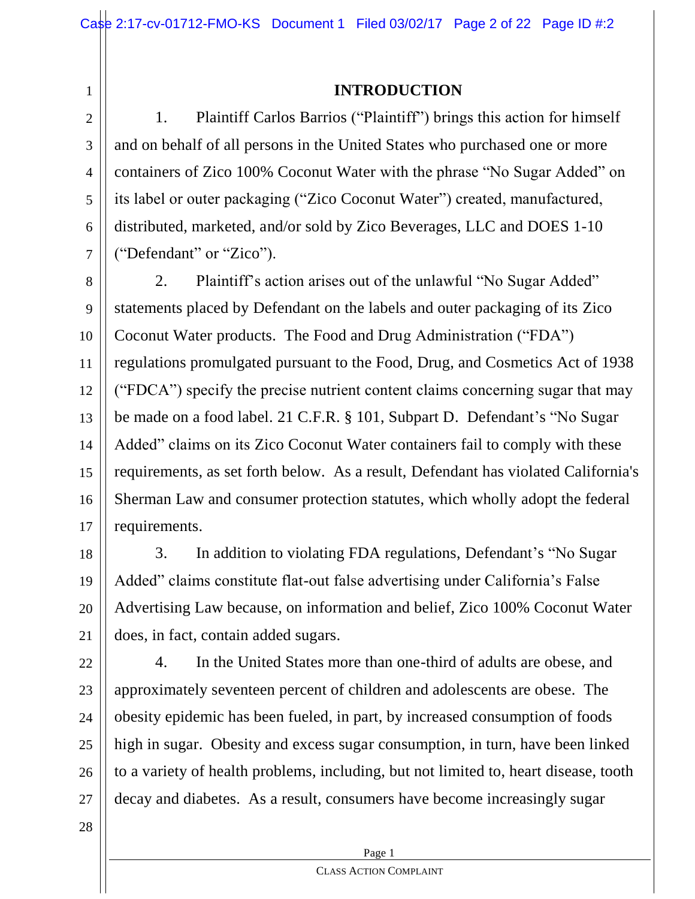1 2

3

4

5

6

7

# **INTRODUCTION**

1. Plaintiff Carlos Barrios ("Plaintiff") brings this action for himself and on behalf of all persons in the United States who purchased one or more containers of Zico 100% Coconut Water with the phrase "No Sugar Added" on its label or outer packaging ("Zico Coconut Water") created, manufactured, distributed, marketed, and/or sold by Zico Beverages, LLC and DOES 1-10 ("Defendant" or "Zico").

8 9 10 11 12 13 14 15 16 17 2. Plaintiff's action arises out of the unlawful "No Sugar Added" statements placed by Defendant on the labels and outer packaging of its Zico Coconut Water products. The Food and Drug Administration ("FDA") regulations promulgated pursuant to the Food, Drug, and Cosmetics Act of 1938 ("FDCA") specify the precise nutrient content claims concerning sugar that may be made on a food label. 21 C.F.R. § 101, Subpart D. Defendant's "No Sugar Added" claims on its Zico Coconut Water containers fail to comply with these requirements, as set forth below. As a result, Defendant has violated California's Sherman Law and consumer protection statutes, which wholly adopt the federal requirements.

18 19 20 21 3. In addition to violating FDA regulations, Defendant's "No Sugar Added" claims constitute flat-out false advertising under California's False Advertising Law because, on information and belief, Zico 100% Coconut Water does, in fact, contain added sugars.

22 23 24 25 26 27 4. In the United States more than one-third of adults are obese, and approximately seventeen percent of children and adolescents are obese. The obesity epidemic has been fueled, in part, by increased consumption of foods high in sugar. Obesity and excess sugar consumption, in turn, have been linked to a variety of health problems, including, but not limited to, heart disease, tooth decay and diabetes. As a result, consumers have become increasingly sugar

28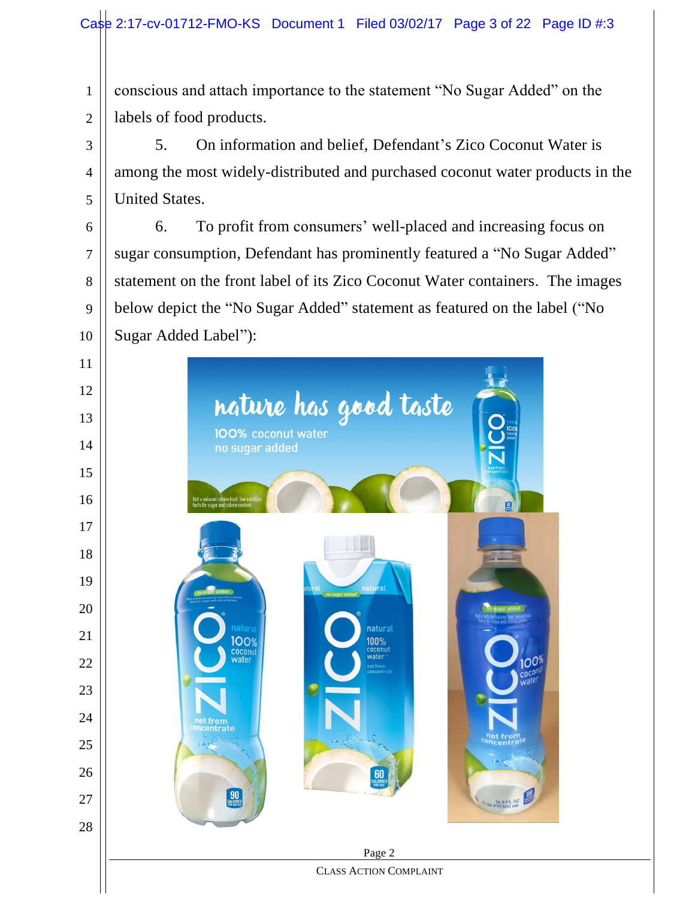conscious and attach importance to the statement "No Sugar Added" on the labels of food products.

 5. On information and belief, Defendant's Zico Coconut Water is among the most widely-distributed and purchased coconut water products in the United States.

 6. To profit from consumers' well-placed and increasing focus on sugar consumption, Defendant has prominently featured a "No Sugar Added" statement on the front label of its Zico Coconut Water containers. The images below depict the "No Sugar Added" statement as featured on the label ("No Sugar Added Label"):

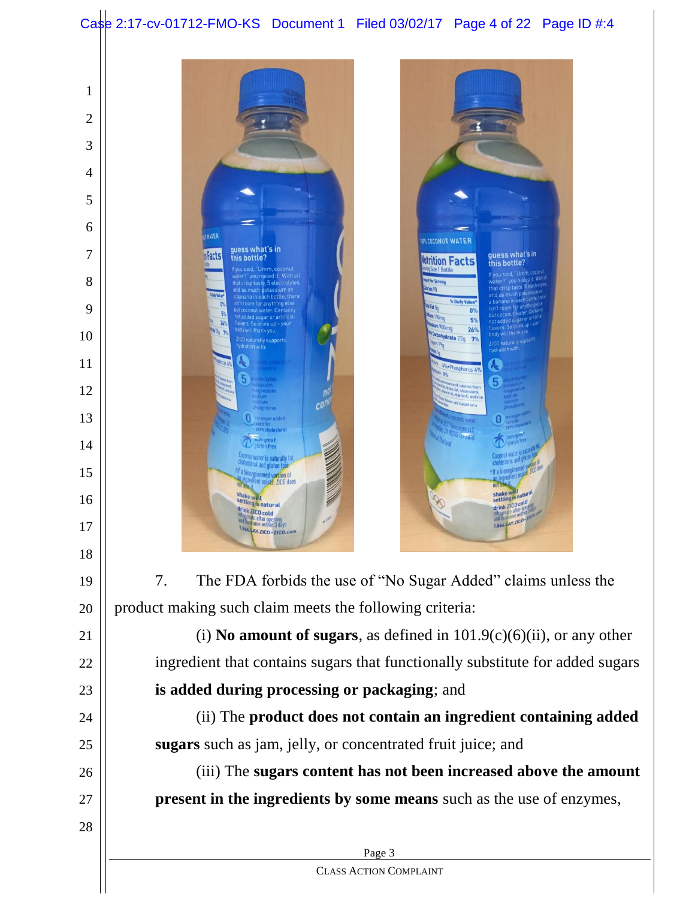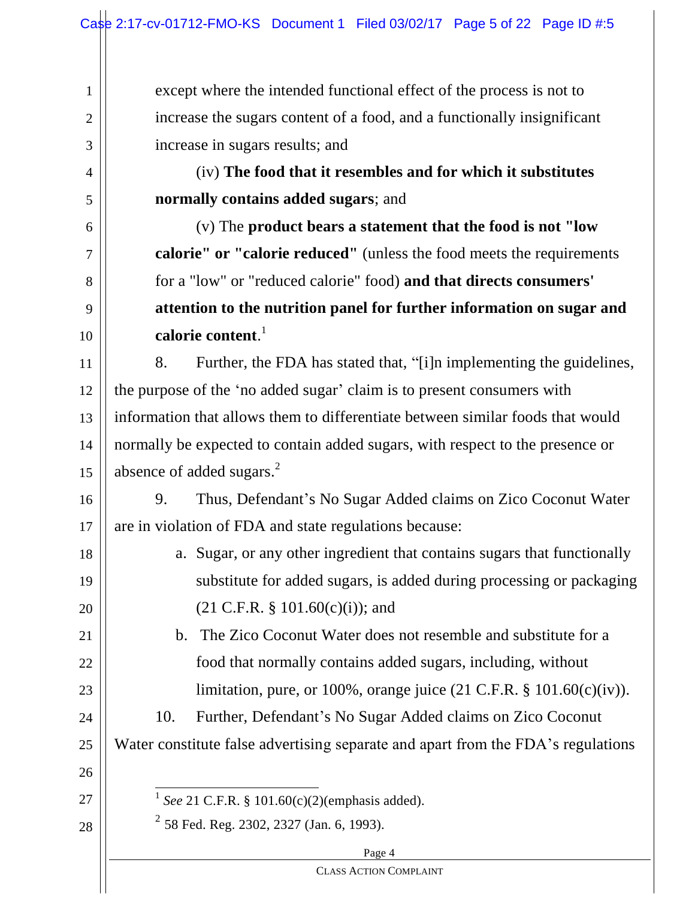except where the intended functional effect of the process is not to increase the sugars content of a food, and a functionally insignificant increase in sugars results; and

(iv) **The food that it resembles and for which it substitutes normally contains added sugars**; and

(v) The **product bears a statement that the food is not "low calorie" or "calorie reduced"** (unless the food meets the requirements for a "low" or "reduced calorie" food) **and that directs consumers' attention to the nutrition panel for further information on sugar and calorie content**. 1

11 12 13 14 15 8. Further, the FDA has stated that, "[i]n implementing the guidelines, the purpose of the 'no added sugar' claim is to present consumers with information that allows them to differentiate between similar foods that would normally be expected to contain added sugars, with respect to the presence or absence of added sugars.<sup>2</sup>

16 17 9. Thus, Defendant's No Sugar Added claims on Zico Coconut Water are in violation of FDA and state regulations because:

- 18 19 20 a. Sugar, or any other ingredient that contains sugars that functionally substitute for added sugars, is added during processing or packaging  $(21 \text{ C.F.R. } § 101.60(c)(i))$ ; and
	- b. The Zico Coconut Water does not resemble and substitute for a food that normally contains added sugars, including, without limitation, pure, or 100%, orange juice (21 C.F.R. § 101.60(c)(iv)).

24 25 10. Further, Defendant's No Sugar Added claims on Zico Coconut Water constitute false advertising separate and apart from the FDA's regulations

26

21

22

23

1

2

3

4

5

6

7

8

9

10

 $\overline{1}$ 1 *See* 21 C.F.R. § 101.60(c)(2)(emphasis added).

 $2^{2}$  58 Fed. Reg. 2302, 2327 (Jan. 6, 1993).

28

27

Page 4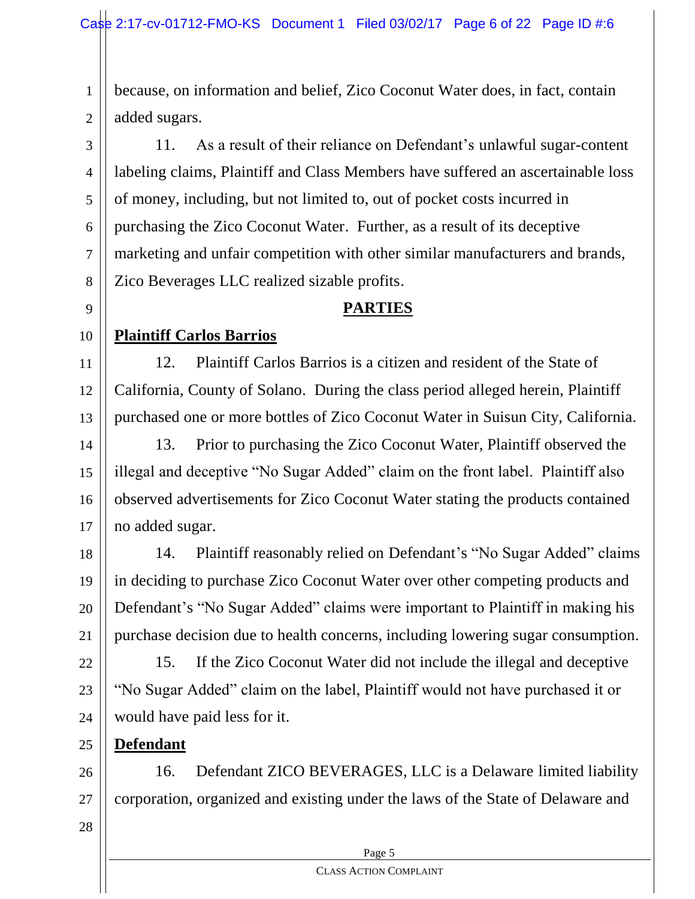1 2 because, on information and belief, Zico Coconut Water does, in fact, contain added sugars.

3 4 5 6 7 8 11. As a result of their reliance on Defendant's unlawful sugar-content labeling claims, Plaintiff and Class Members have suffered an ascertainable loss of money, including, but not limited to, out of pocket costs incurred in purchasing the Zico Coconut Water. Further, as a result of its deceptive marketing and unfair competition with other similar manufacturers and brands, Zico Beverages LLC realized sizable profits.

# **PARTIES**

#### 10 **Plaintiff Carlos Barrios**

9

11 12 13 12. Plaintiff Carlos Barrios is a citizen and resident of the State of California, County of Solano. During the class period alleged herein, Plaintiff purchased one or more bottles of Zico Coconut Water in Suisun City, California.

14 15 16 17 13. Prior to purchasing the Zico Coconut Water, Plaintiff observed the illegal and deceptive "No Sugar Added" claim on the front label. Plaintiff also observed advertisements for Zico Coconut Water stating the products contained no added sugar.

18 19 20 21 14. Plaintiff reasonably relied on Defendant's "No Sugar Added" claims in deciding to purchase Zico Coconut Water over other competing products and Defendant's "No Sugar Added" claims were important to Plaintiff in making his purchase decision due to health concerns, including lowering sugar consumption.

22 23 24 15. If the Zico Coconut Water did not include the illegal and deceptive "No Sugar Added" claim on the label, Plaintiff would not have purchased it or would have paid less for it.

**Defendant**

26 27 16. Defendant ZICO BEVERAGES, LLC is a Delaware limited liability corporation, organized and existing under the laws of the State of Delaware and

28

25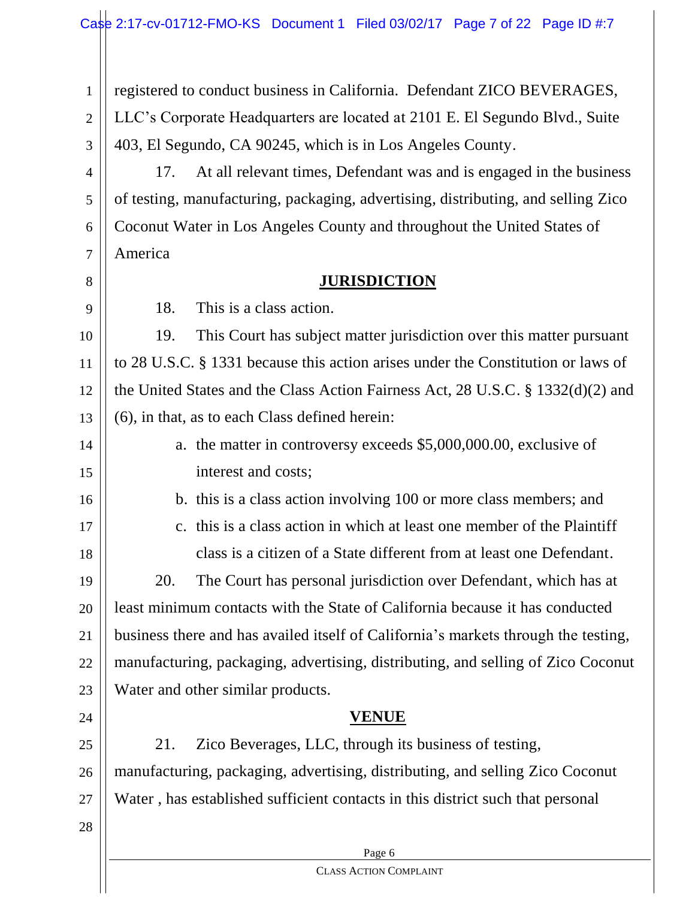1 2 3 4 5 6 registered to conduct business in California. Defendant ZICO BEVERAGES, LLC's Corporate Headquarters are located at 2101 E. El Segundo Blvd., Suite 403, El Segundo, CA 90245, which is in Los Angeles County. 17. At all relevant times, Defendant was and is engaged in the business of testing, manufacturing, packaging, advertising, distributing, and selling Zico Coconut Water in Los Angeles County and throughout the United States of

#### 7 8 America

9

# **JURISDICTION**

18. This is a class action.

10 11 12 13 19. This Court has subject matter jurisdiction over this matter pursuant to 28 U.S.C. § 1331 because this action arises under the Constitution or laws of the United States and the Class Action Fairness Act, 28 U.S.C. § 1332(d)(2) and (6), in that, as to each Class defined herein:

14

15

16

a. the matter in controversy exceeds \$5,000,000.00, exclusive of interest and costs;

b. this is a class action involving 100 or more class members; and

17

18

c. this is a class action in which at least one member of the Plaintiff class is a citizen of a State different from at least one Defendant.

19 20 21 22 23 20. The Court has personal jurisdiction over Defendant, which has at least minimum contacts with the State of California because it has conducted business there and has availed itself of California's markets through the testing, manufacturing, packaging, advertising, distributing, and selling of Zico Coconut Water and other similar products.

24

# **VENUE**

25 26 27 21. Zico Beverages, LLC, through its business of testing, manufacturing, packaging, advertising, distributing, and selling Zico Coconut Water , has established sufficient contacts in this district such that personal

28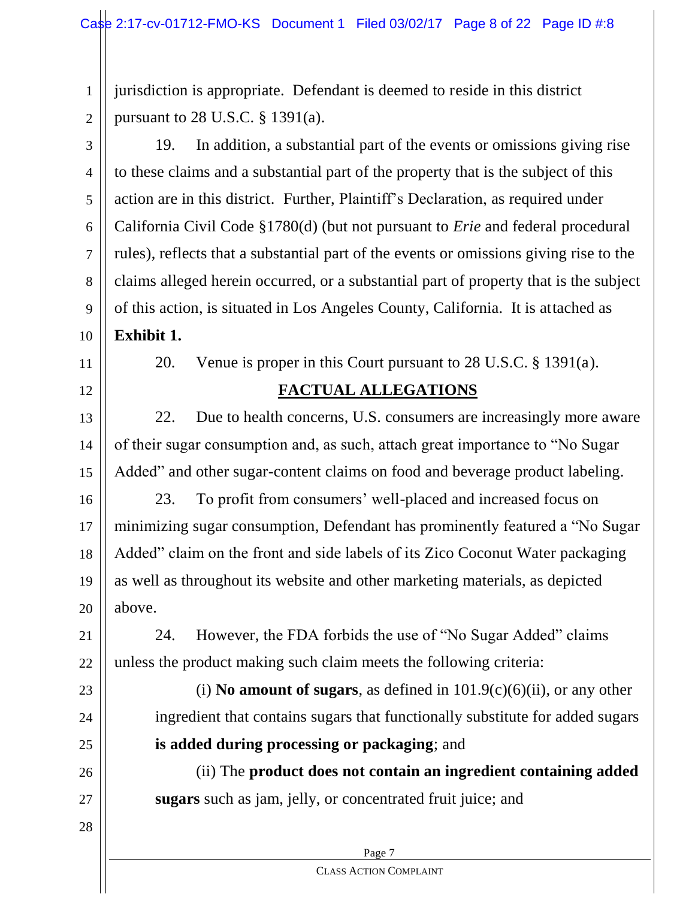1 2 jurisdiction is appropriate. Defendant is deemed to reside in this district pursuant to 28 U.S.C. § 1391(a).

3 4 5 6 7 8 9 10 19. In addition, a substantial part of the events or omissions giving rise to these claims and a substantial part of the property that is the subject of this action are in this district. Further, Plaintiff's Declaration, as required under California Civil Code §1780(d) (but not pursuant to *Erie* and federal procedural rules), reflects that a substantial part of the events or omissions giving rise to the claims alleged herein occurred, or a substantial part of property that is the subject of this action, is situated in Los Angeles County, California. It is attached as **Exhibit 1.**

11

12

13

14

15

20. Venue is proper in this Court pursuant to 28 U.S.C. § 1391(a).

# **FACTUAL ALLEGATIONS**

22. Due to health concerns, U.S. consumers are increasingly more aware of their sugar consumption and, as such, attach great importance to "No Sugar Added" and other sugar-content claims on food and beverage product labeling.

16 17 18 19 20 23. To profit from consumers' well-placed and increased focus on minimizing sugar consumption, Defendant has prominently featured a "No Sugar Added" claim on the front and side labels of its Zico Coconut Water packaging as well as throughout its website and other marketing materials, as depicted above.

21 22 24. However, the FDA forbids the use of "No Sugar Added" claims unless the product making such claim meets the following criteria:

(i) **No amount of sugars**, as defined in  $101.9(c)(6)(ii)$ , or any other ingredient that contains sugars that functionally substitute for added sugars **is added during processing or packaging**; and

(ii) The **product does not contain an ingredient containing added sugars** such as jam, jelly, or concentrated fruit juice; and

28

27

23

24

25

26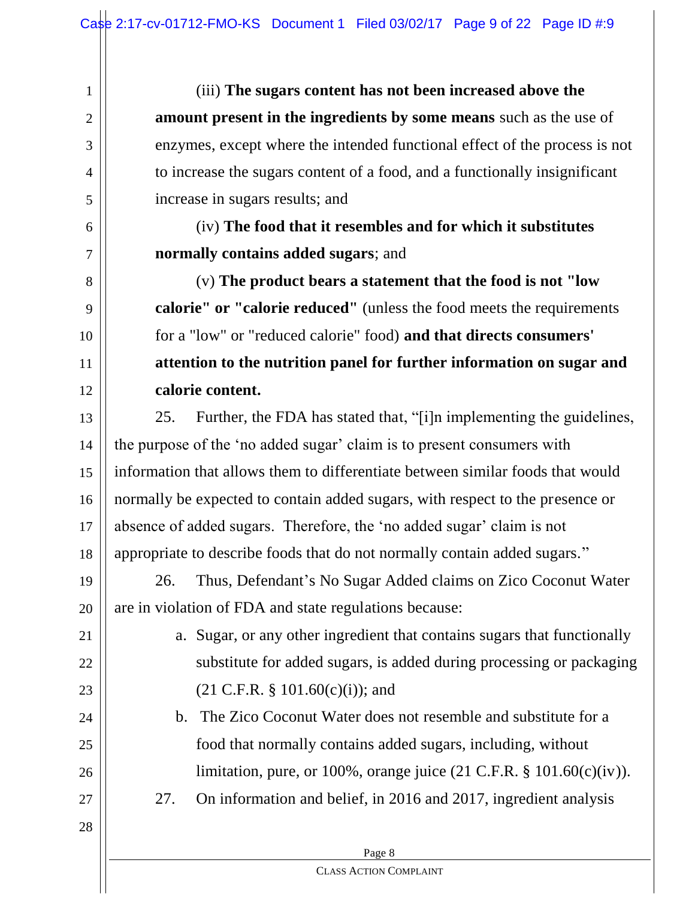(iii) **The sugars content has not been increased above the amount present in the ingredients by some means** such as the use of enzymes, except where the intended functional effect of the process is not to increase the sugars content of a food, and a functionally insignificant increase in sugars results; and

(iv) **The food that it resembles and for which it substitutes normally contains added sugars**; and

(v) **The product bears a statement that the food is not "low calorie" or "calorie reduced"** (unless the food meets the requirements for a "low" or "reduced calorie" food) **and that directs consumers' attention to the nutrition panel for further information on sugar and calorie content.**

13 14 15 16 17 18 25. Further, the FDA has stated that, "[i]n implementing the guidelines, the purpose of the 'no added sugar' claim is to present consumers with information that allows them to differentiate between similar foods that would normally be expected to contain added sugars, with respect to the presence or absence of added sugars. Therefore, the 'no added sugar' claim is not appropriate to describe foods that do not normally contain added sugars."

19 20 26. Thus, Defendant's No Sugar Added claims on Zico Coconut Water are in violation of FDA and state regulations because:

 $(21 \text{ C.F.R. } § 101.60(c)(i))$ ; and

a. Sugar, or any other ingredient that contains sugars that functionally

substitute for added sugars, is added during processing or packaging

limitation, pure, or 100%, orange juice (21 C.F.R. § 101.60(c)(iv)).

1

2

3

4

5

6

7

8

9

10

11

12

- 25 26
- 27
- 27. On information and belief, in 2016 and 2017, ingredient analysis

b. The Zico Coconut Water does not resemble and substitute for a

food that normally contains added sugars, including, without

28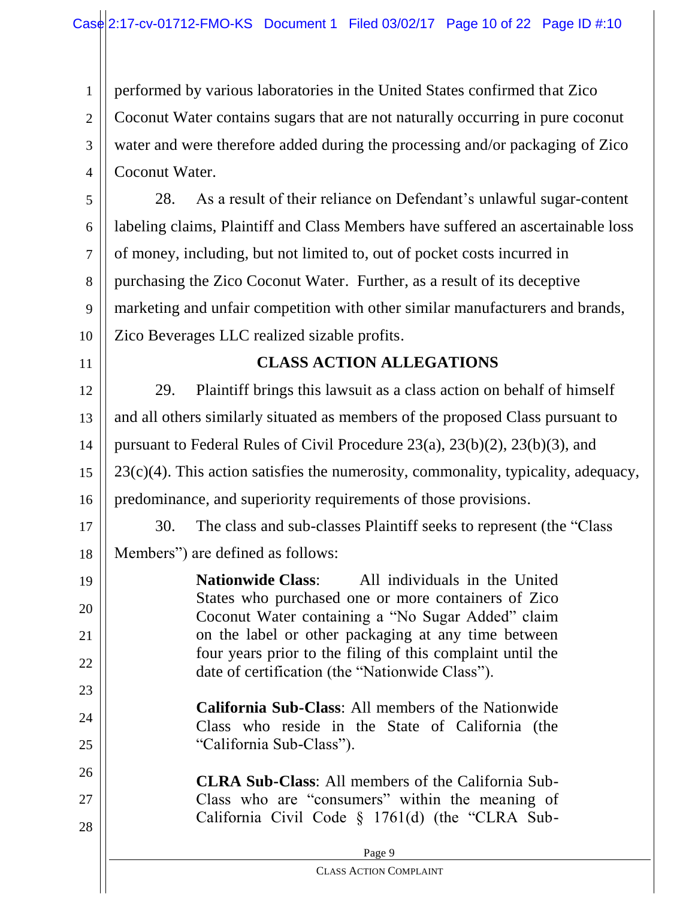1 2 3 4 performed by various laboratories in the United States confirmed that Zico Coconut Water contains sugars that are not naturally occurring in pure coconut water and were therefore added during the processing and/or packaging of Zico Coconut Water.

5 6 7 8 9 10 28. As a result of their reliance on Defendant's unlawful sugar-content labeling claims, Plaintiff and Class Members have suffered an ascertainable loss of money, including, but not limited to, out of pocket costs incurred in purchasing the Zico Coconut Water. Further, as a result of its deceptive marketing and unfair competition with other similar manufacturers and brands, Zico Beverages LLC realized sizable profits.

11

23

24

25

27

28

# **CLASS ACTION ALLEGATIONS**

12 13 14 15 16 29. Plaintiff brings this lawsuit as a class action on behalf of himself and all others similarly situated as members of the proposed Class pursuant to pursuant to Federal Rules of Civil Procedure 23(a), 23(b)(2), 23(b)(3), and  $23(c)(4)$ . This action satisfies the numerosity, commonality, typicality, adequacy, predominance, and superiority requirements of those provisions.

17 18 30. The class and sub-classes Plaintiff seeks to represent (the "Class Members") are defined as follows:

19 20 21 22 **Nationwide Class**: All individuals in the United States who purchased one or more containers of Zico Coconut Water containing a "No Sugar Added" claim on the label or other packaging at any time between four years prior to the filing of this complaint until the date of certification (the "Nationwide Class").

> **California Sub-Class**: All members of the Nationwide Class who reside in the State of California (the "California Sub-Class").

26 **CLRA Sub-Class**: All members of the California Sub-Class who are "consumers" within the meaning of California Civil Code § 1761(d) (the "CLRA Sub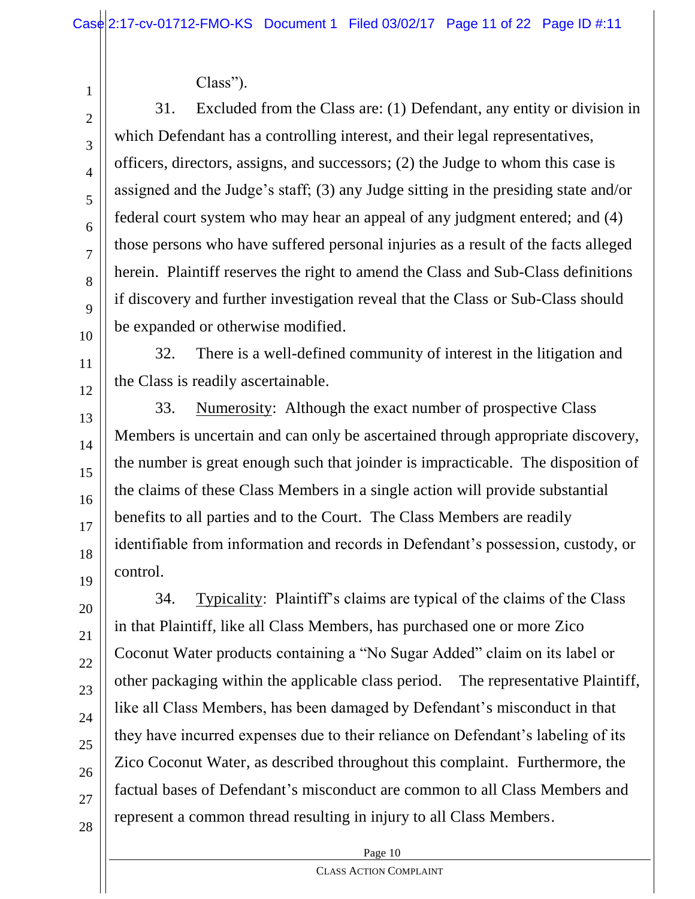Class").

31. Excluded from the Class are: (1) Defendant, any entity or division in which Defendant has a controlling interest, and their legal representatives, officers, directors, assigns, and successors; (2) the Judge to whom this case is assigned and the Judge's staff; (3) any Judge sitting in the presiding state and/or federal court system who may hear an appeal of any judgment entered; and (4) those persons who have suffered personal injuries as a result of the facts alleged herein. Plaintiff reserves the right to amend the Class and Sub-Class definitions if discovery and further investigation reveal that the Class or Sub-Class should be expanded or otherwise modified.

32. There is a well-defined community of interest in the litigation and the Class is readily ascertainable.

33. Numerosity: Although the exact number of prospective Class Members is uncertain and can only be ascertained through appropriate discovery, the number is great enough such that joinder is impracticable. The disposition of the claims of these Class Members in a single action will provide substantial benefits to all parties and to the Court. The Class Members are readily identifiable from information and records in Defendant's possession, custody, or control.

34. Typicality: Plaintiff's claims are typical of the claims of the Class in that Plaintiff, like all Class Members, has purchased one or more Zico Coconut Water products containing a "No Sugar Added" claim on its label or other packaging within the applicable class period. The representative Plaintiff, like all Class Members, has been damaged by Defendant's misconduct in that they have incurred expenses due to their reliance on Defendant's labeling of its Zico Coconut Water, as described throughout this complaint. Furthermore, the factual bases of Defendant's misconduct are common to all Class Members and represent a common thread resulting in injury to all Class Members.

Page 10

1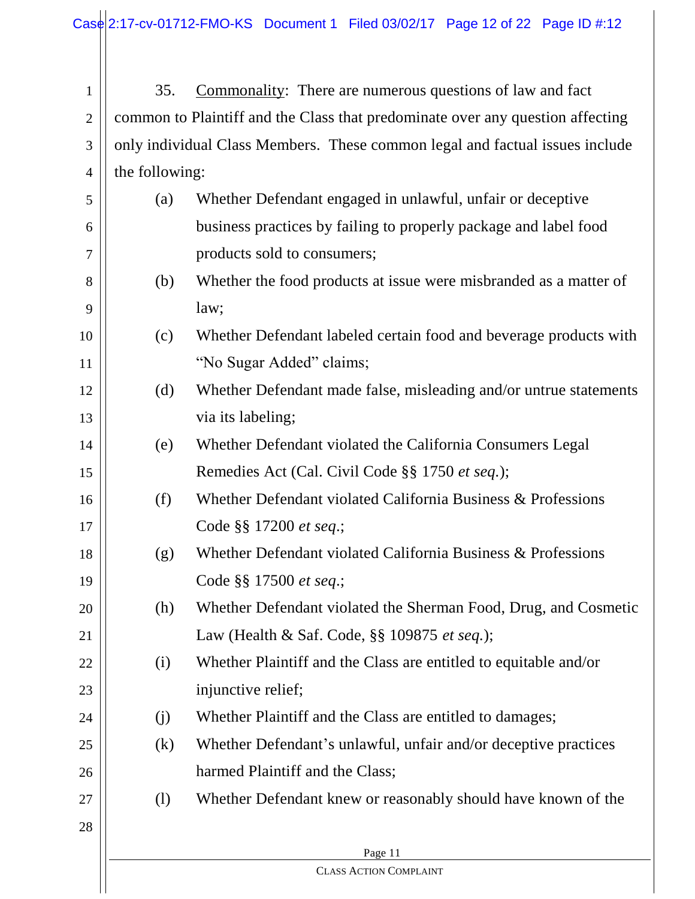1 2 3 4 35. Commonality: There are numerous questions of law and fact common to Plaintiff and the Class that predominate over any question affecting only individual Class Members. These common legal and factual issues include the following:

| 5      | (a) | Whether Defendant engaged in unlawful, unfair or deceptive        |
|--------|-----|-------------------------------------------------------------------|
| 6      |     | business practices by failing to properly package and label food  |
| $\tau$ |     | products sold to consumers;                                       |
| 8      | (b) | Whether the food products at issue were misbranded as a matter of |
| 9      |     | law;                                                              |
| 10     | (c) | Whether Defendant labeled certain food and beverage products with |
| 11     |     | "No Sugar Added" claims;                                          |
| 12     | (d) | Whether Defendant made false, misleading and/or untrue statements |
| 13     |     | via its labeling;                                                 |
| 14     | (e) | Whether Defendant violated the California Consumers Legal         |
| 15     |     | Remedies Act (Cal. Civil Code §§ 1750 et seq.);                   |
| 16     | (f) | Whether Defendant violated California Business & Professions      |
| 17     |     | Code §§ 17200 et seq.;                                            |
| 18     | (g) | Whether Defendant violated California Business & Professions      |
| 19     |     | Code §§ 17500 et seq.;                                            |
| 20     | (h) | Whether Defendant violated the Sherman Food, Drug, and Cosmetic   |
| 21     |     | Law (Health & Saf. Code, §§ 109875 et seq.);                      |
| 22     | (i) | Whether Plaintiff and the Class are entitled to equitable and/or  |
| 23     |     | injunctive relief;                                                |
| 24     | (j) | Whether Plaintiff and the Class are entitled to damages;          |
| 25     | (k) | Whether Defendant's unlawful, unfair and/or deceptive practices   |
| 26     |     | harmed Plaintiff and the Class;                                   |
| 27     | (1) | Whether Defendant knew or reasonably should have known of the     |
| 28     |     |                                                                   |
|        |     | Page 11                                                           |
|        |     | <b>CLASS ACTION COMPLAINT</b>                                     |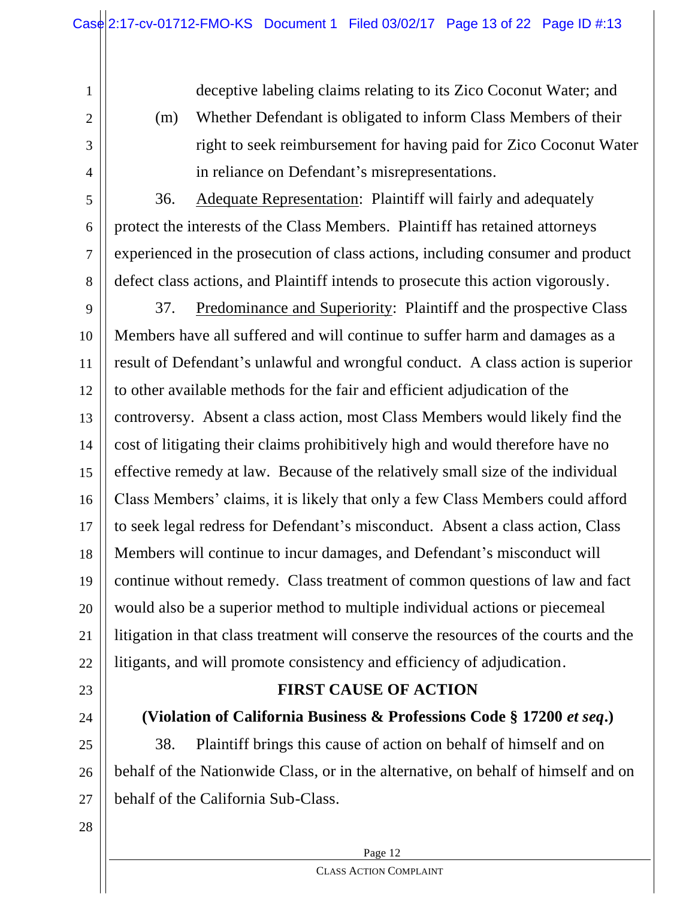deceptive labeling claims relating to its Zico Coconut Water; and

2 3

4

5

6

7

8

1

(m) Whether Defendant is obligated to inform Class Members of their right to seek reimbursement for having paid for Zico Coconut Water in reliance on Defendant's misrepresentations.

36. Adequate Representation: Plaintiff will fairly and adequately protect the interests of the Class Members. Plaintiff has retained attorneys experienced in the prosecution of class actions, including consumer and product defect class actions, and Plaintiff intends to prosecute this action vigorously.

9 10 11 12 13 14 15 16 17 18 19 20 21 22 37. Predominance and Superiority: Plaintiff and the prospective Class Members have all suffered and will continue to suffer harm and damages as a result of Defendant's unlawful and wrongful conduct. A class action is superior to other available methods for the fair and efficient adjudication of the controversy. Absent a class action, most Class Members would likely find the cost of litigating their claims prohibitively high and would therefore have no effective remedy at law. Because of the relatively small size of the individual Class Members' claims, it is likely that only a few Class Members could afford to seek legal redress for Defendant's misconduct. Absent a class action, Class Members will continue to incur damages, and Defendant's misconduct will continue without remedy. Class treatment of common questions of law and fact would also be a superior method to multiple individual actions or piecemeal litigation in that class treatment will conserve the resources of the courts and the litigants, and will promote consistency and efficiency of adjudication.

23

# 24

## **(Violation of California Business & Professions Code § 17200** *et seq***.)**

**FIRST CAUSE OF ACTION**

25 26 27 38. Plaintiff brings this cause of action on behalf of himself and on behalf of the Nationwide Class, or in the alternative, on behalf of himself and on behalf of the California Sub-Class.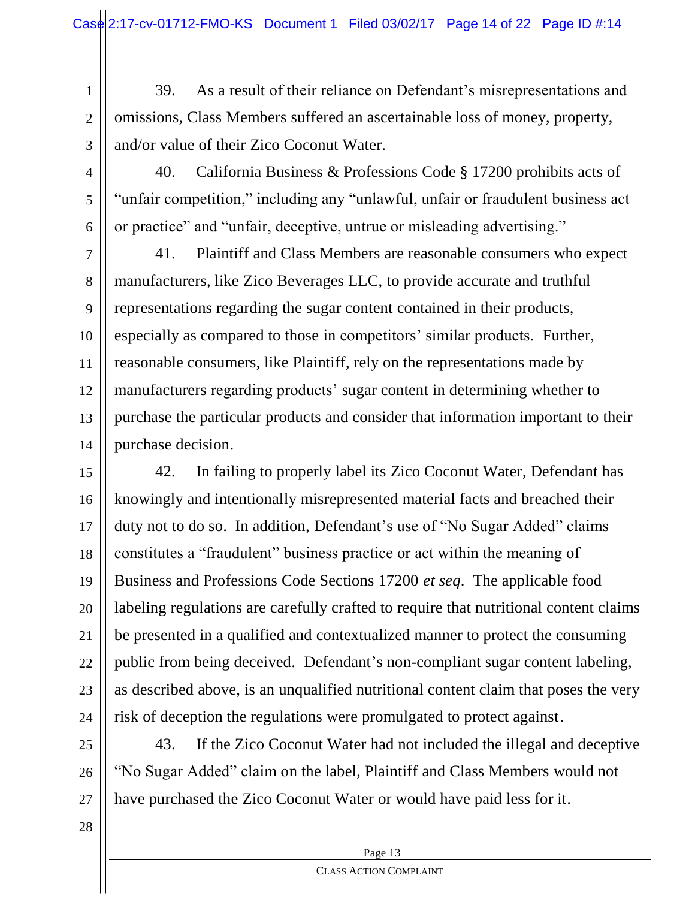1 2 3 39. As a result of their reliance on Defendant's misrepresentations and omissions, Class Members suffered an ascertainable loss of money, property, and/or value of their Zico Coconut Water.

4

5

6

40. California Business & Professions Code § 17200 prohibits acts of "unfair competition," including any "unlawful, unfair or fraudulent business act or practice" and "unfair, deceptive, untrue or misleading advertising."

7 8 9 10 11 12 13 14 41. Plaintiff and Class Members are reasonable consumers who expect manufacturers, like Zico Beverages LLC, to provide accurate and truthful representations regarding the sugar content contained in their products, especially as compared to those in competitors' similar products. Further, reasonable consumers, like Plaintiff, rely on the representations made by manufacturers regarding products' sugar content in determining whether to purchase the particular products and consider that information important to their purchase decision.

15 16 17 18 19 20 21 22 23 24 42. In failing to properly label its Zico Coconut Water, Defendant has knowingly and intentionally misrepresented material facts and breached their duty not to do so. In addition, Defendant's use of "No Sugar Added" claims constitutes a "fraudulent" business practice or act within the meaning of Business and Professions Code Sections 17200 *et seq*. The applicable food labeling regulations are carefully crafted to require that nutritional content claims be presented in a qualified and contextualized manner to protect the consuming public from being deceived. Defendant's non-compliant sugar content labeling, as described above, is an unqualified nutritional content claim that poses the very risk of deception the regulations were promulgated to protect against.

25 26 27 43. If the Zico Coconut Water had not included the illegal and deceptive "No Sugar Added" claim on the label, Plaintiff and Class Members would not have purchased the Zico Coconut Water or would have paid less for it.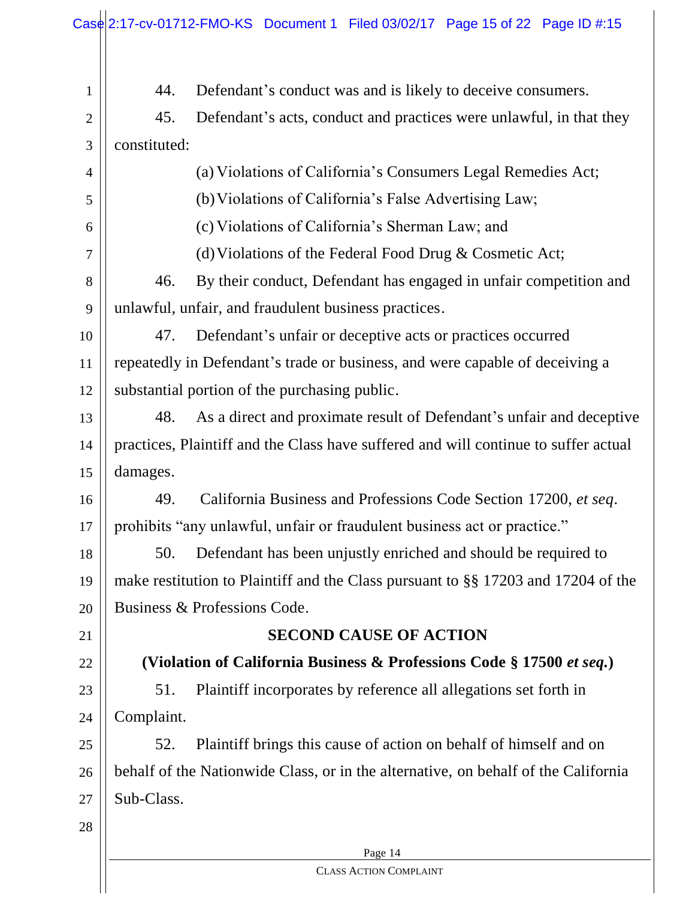|                | Case 2:17-cv-01712-FMO-KS Document 1 Filed 03/02/17 Page 15 of 22 Page ID #:15      |
|----------------|-------------------------------------------------------------------------------------|
| $\mathbf{1}$   | Defendant's conduct was and is likely to deceive consumers.<br>44.                  |
| $\overline{c}$ | Defendant's acts, conduct and practices were unlawful, in that they<br>45.          |
| 3              | constituted:                                                                        |
| 4              | (a) Violations of California's Consumers Legal Remedies Act;                        |
| 5              | (b) Violations of California's False Advertising Law;                               |
| 6              | (c) Violations of California's Sherman Law; and                                     |
| 7              | (d) Violations of the Federal Food Drug $&$ Cosmetic Act;                           |
| 8              | By their conduct, Defendant has engaged in unfair competition and<br>46.            |
| 9              | unlawful, unfair, and fraudulent business practices.                                |
| 10             | Defendant's unfair or deceptive acts or practices occurred<br>47.                   |
| 11             | repeatedly in Defendant's trade or business, and were capable of deceiving a        |
| 12             | substantial portion of the purchasing public.                                       |
| 13             | As a direct and proximate result of Defendant's unfair and deceptive<br>48.         |
| 14             | practices, Plaintiff and the Class have suffered and will continue to suffer actual |
| 15             | damages.                                                                            |
| 16             | California Business and Professions Code Section 17200, et seq.<br>49.              |
| 17             | prohibits "any unlawful, unfair or fraudulent business act or practice."            |
| 18             | Defendant has been unjustly enriched and should be required to<br>50.               |
| 19             | make restitution to Plaintiff and the Class pursuant to §§ 17203 and 17204 of the   |
| 20             | Business & Professions Code.                                                        |
| 21             | <b>SECOND CAUSE OF ACTION</b>                                                       |
| 22             | (Violation of California Business & Professions Code § 17500 et seq.)               |
| 23             | Plaintiff incorporates by reference all allegations set forth in<br>51.             |
| 24             | Complaint.                                                                          |
| 25             | Plaintiff brings this cause of action on behalf of himself and on<br>52.            |
| 26             | behalf of the Nationwide Class, or in the alternative, on behalf of the California  |
| 27             | Sub-Class.                                                                          |
| 28             |                                                                                     |
|                | Page 14                                                                             |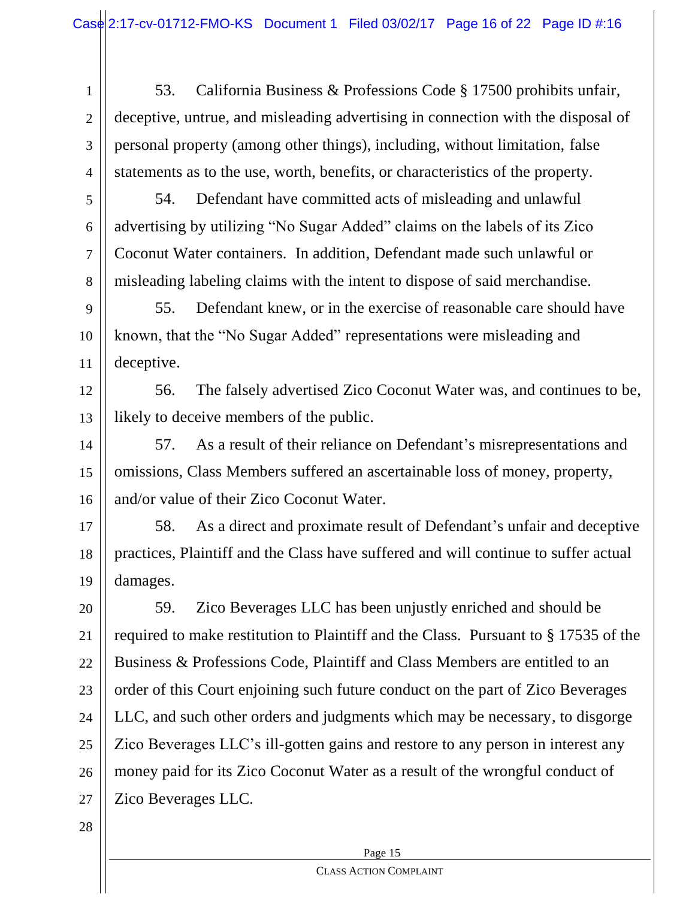1 2 3 4 53. California Business & Professions Code § 17500 prohibits unfair, deceptive, untrue, and misleading advertising in connection with the disposal of personal property (among other things), including, without limitation, false statements as to the use, worth, benefits, or characteristics of the property.

5

6

7

8

54. Defendant have committed acts of misleading and unlawful advertising by utilizing "No Sugar Added" claims on the labels of its Zico Coconut Water containers. In addition, Defendant made such unlawful or misleading labeling claims with the intent to dispose of said merchandise.

9 10 11 55. Defendant knew, or in the exercise of reasonable care should have known, that the "No Sugar Added" representations were misleading and deceptive.

12 13 56. The falsely advertised Zico Coconut Water was, and continues to be, likely to deceive members of the public.

14 15 16 57. As a result of their reliance on Defendant's misrepresentations and omissions, Class Members suffered an ascertainable loss of money, property, and/or value of their Zico Coconut Water.

17 18 19 58. As a direct and proximate result of Defendant's unfair and deceptive practices, Plaintiff and the Class have suffered and will continue to suffer actual damages.

20 21 22 23 24 25 26 27 59. Zico Beverages LLC has been unjustly enriched and should be required to make restitution to Plaintiff and the Class. Pursuant to § 17535 of the Business & Professions Code, Plaintiff and Class Members are entitled to an order of this Court enjoining such future conduct on the part of Zico Beverages LLC, and such other orders and judgments which may be necessary, to disgorge Zico Beverages LLC's ill-gotten gains and restore to any person in interest any money paid for its Zico Coconut Water as a result of the wrongful conduct of Zico Beverages LLC.

28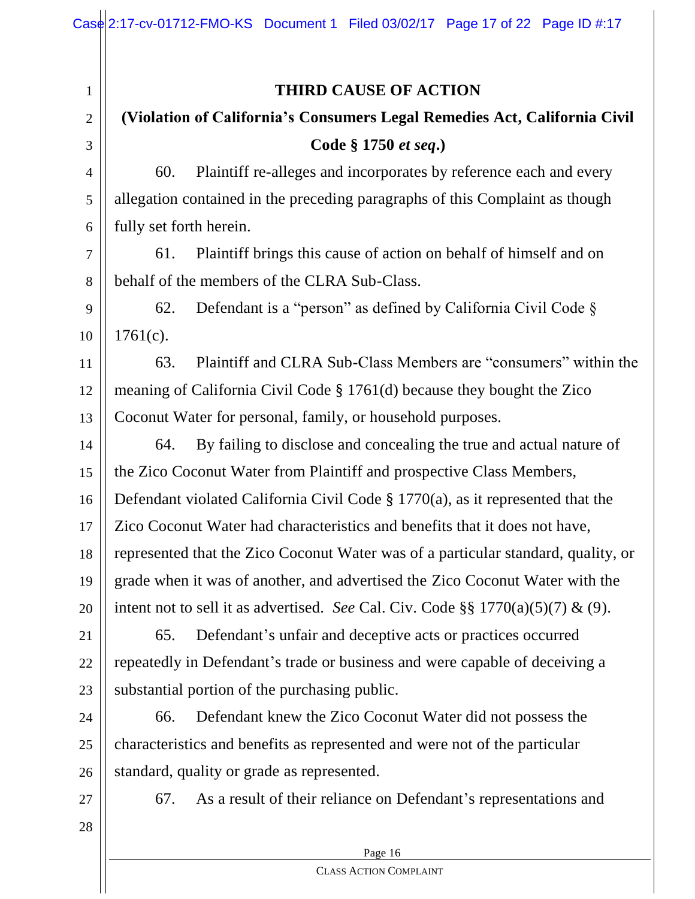1 2 3 4 5 6 7 8 9 10 11 12 13 14 15 16 17 18 19 20 21 22 23 24 25 26 27 28 **THIRD CAUSE OF ACTION (Violation of California's Consumers Legal Remedies Act, California Civil Code § 1750** *et seq***.)** 60. Plaintiff re-alleges and incorporates by reference each and every allegation contained in the preceding paragraphs of this Complaint as though fully set forth herein. 61. Plaintiff brings this cause of action on behalf of himself and on behalf of the members of the CLRA Sub-Class. 62. Defendant is a "person" as defined by California Civil Code § 1761(c). 63. Plaintiff and CLRA Sub-Class Members are "consumers" within the meaning of California Civil Code § 1761(d) because they bought the Zico Coconut Water for personal, family, or household purposes. 64. By failing to disclose and concealing the true and actual nature of the Zico Coconut Water from Plaintiff and prospective Class Members, Defendant violated California Civil Code § 1770(a), as it represented that the Zico Coconut Water had characteristics and benefits that it does not have, represented that the Zico Coconut Water was of a particular standard, quality, or grade when it was of another, and advertised the Zico Coconut Water with the intent not to sell it as advertised. *See* Cal. Civ. Code §§  $1770(a)(5)(7)$  & (9). 65. Defendant's unfair and deceptive acts or practices occurred repeatedly in Defendant's trade or business and were capable of deceiving a substantial portion of the purchasing public. 66. Defendant knew the Zico Coconut Water did not possess the characteristics and benefits as represented and were not of the particular standard, quality or grade as represented. 67. As a result of their reliance on Defendant's representations and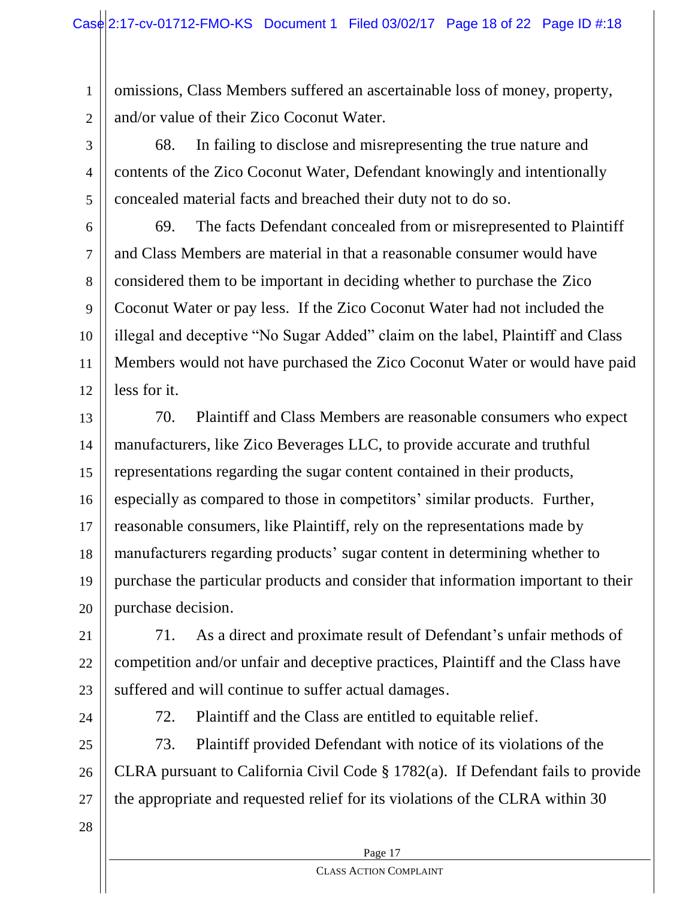1 2 omissions, Class Members suffered an ascertainable loss of money, property, and/or value of their Zico Coconut Water.

3 4 5 68. In failing to disclose and misrepresenting the true nature and contents of the Zico Coconut Water, Defendant knowingly and intentionally concealed material facts and breached their duty not to do so.

6 7 8 9 10 11 12 69. The facts Defendant concealed from or misrepresented to Plaintiff and Class Members are material in that a reasonable consumer would have considered them to be important in deciding whether to purchase the Zico Coconut Water or pay less. If the Zico Coconut Water had not included the illegal and deceptive "No Sugar Added" claim on the label, Plaintiff and Class Members would not have purchased the Zico Coconut Water or would have paid less for it.

13 14 15 16 17 18 19 20 70. Plaintiff and Class Members are reasonable consumers who expect manufacturers, like Zico Beverages LLC, to provide accurate and truthful representations regarding the sugar content contained in their products, especially as compared to those in competitors' similar products. Further, reasonable consumers, like Plaintiff, rely on the representations made by manufacturers regarding products' sugar content in determining whether to purchase the particular products and consider that information important to their purchase decision.

21 22 23 71. As a direct and proximate result of Defendant's unfair methods of competition and/or unfair and deceptive practices, Plaintiff and the Class have suffered and will continue to suffer actual damages.

24

72. Plaintiff and the Class are entitled to equitable relief.

25 26 27 73. Plaintiff provided Defendant with notice of its violations of the CLRA pursuant to California Civil Code § 1782(a). If Defendant fails to provide the appropriate and requested relief for its violations of the CLRA within 30

28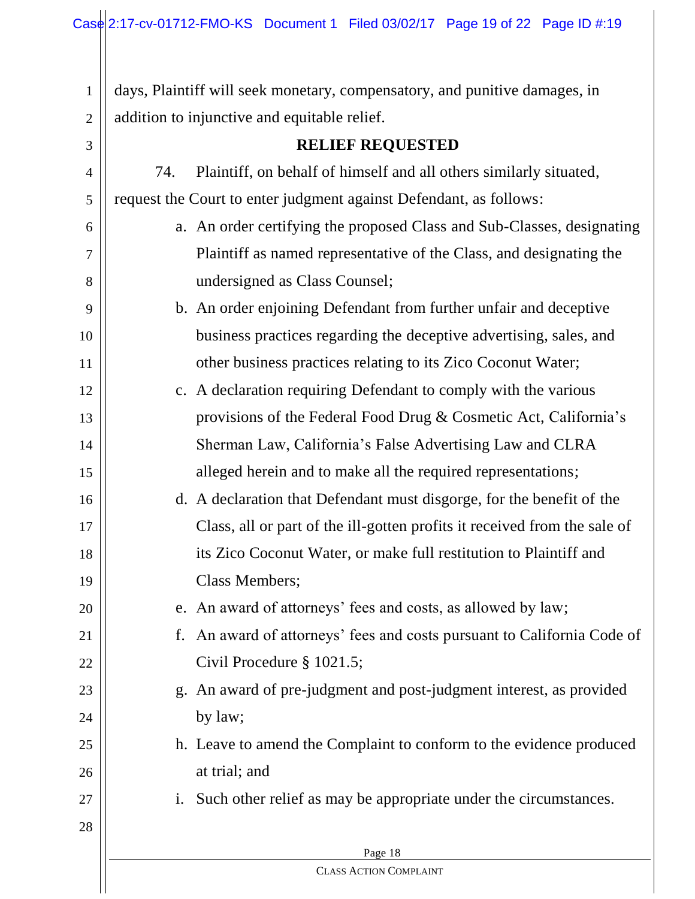Page 18 CLASS ACTION COMPLAINT 1 2 3 4 5 6 7 8 9 10 11 12 13 14 15 16 17 18 19 20 21 22 23 24 25 26 27 28 days, Plaintiff will seek monetary, compensatory, and punitive damages, in addition to injunctive and equitable relief. **RELIEF REQUESTED** 74. Plaintiff, on behalf of himself and all others similarly situated, request the Court to enter judgment against Defendant, as follows: a. An order certifying the proposed Class and Sub-Classes, designating Plaintiff as named representative of the Class, and designating the undersigned as Class Counsel; b. An order enjoining Defendant from further unfair and deceptive business practices regarding the deceptive advertising, sales, and other business practices relating to its Zico Coconut Water; c. A declaration requiring Defendant to comply with the various provisions of the Federal Food Drug & Cosmetic Act, California's Sherman Law, California's False Advertising Law and CLRA alleged herein and to make all the required representations; d. A declaration that Defendant must disgorge, for the benefit of the Class, all or part of the ill-gotten profits it received from the sale of its Zico Coconut Water, or make full restitution to Plaintiff and Class Members; e. An award of attorneys' fees and costs, as allowed by law; f. An award of attorneys' fees and costs pursuant to California Code of Civil Procedure § 1021.5; g. An award of pre-judgment and post-judgment interest, as provided by law; h. Leave to amend the Complaint to conform to the evidence produced at trial; and i. Such other relief as may be appropriate under the circumstances.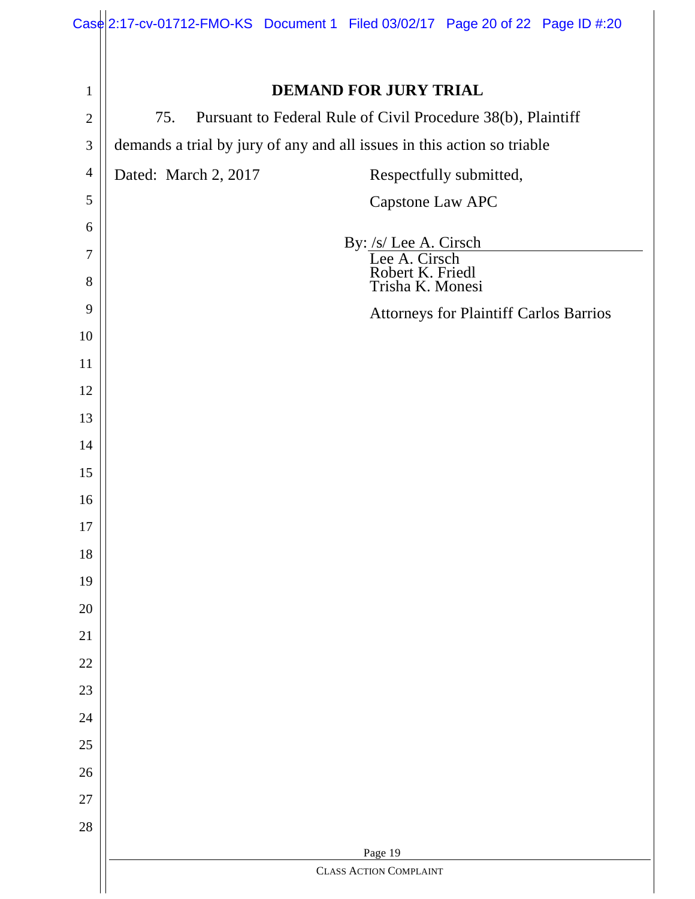|                | $\text{Case}$ 2:17-cv-01712-FMO-KS Document 1 Filed 03/02/17 Page 20 of 22 Page ID #:20 |  |
|----------------|-----------------------------------------------------------------------------------------|--|
|                |                                                                                         |  |
| $\mathbf{1}$   | <b>DEMAND FOR JURY TRIAL</b>                                                            |  |
| $\overline{2}$ | Pursuant to Federal Rule of Civil Procedure 38(b), Plaintiff<br>75.                     |  |
| $\mathfrak{Z}$ | demands a trial by jury of any and all issues in this action so triable                 |  |
| $\overline{4}$ | Dated: March 2, 2017<br>Respectfully submitted,                                         |  |
| 5              | Capstone Law APC                                                                        |  |
| 6              | By: /s/ Lee A. Cirsch                                                                   |  |
| 7              | Lee A. Cirsch                                                                           |  |
| 8              | Robert K. Friedl<br>Trisha K. Monesi                                                    |  |
| 9              | <b>Attorneys for Plaintiff Carlos Barrios</b>                                           |  |
| 10             |                                                                                         |  |
| 11             |                                                                                         |  |
| 12<br>13       |                                                                                         |  |
| 14             |                                                                                         |  |
| 15             |                                                                                         |  |
| 16             |                                                                                         |  |
| 17             |                                                                                         |  |
| 18             |                                                                                         |  |
| 19             |                                                                                         |  |
| 20             |                                                                                         |  |
| 21             |                                                                                         |  |
| 22             |                                                                                         |  |
| 23             |                                                                                         |  |
| 24             |                                                                                         |  |
| 25             |                                                                                         |  |
| 26             |                                                                                         |  |
| 27             |                                                                                         |  |
| 28             |                                                                                         |  |
|                | Page 19<br><b>CLASS ACTION COMPLAINT</b>                                                |  |
|                |                                                                                         |  |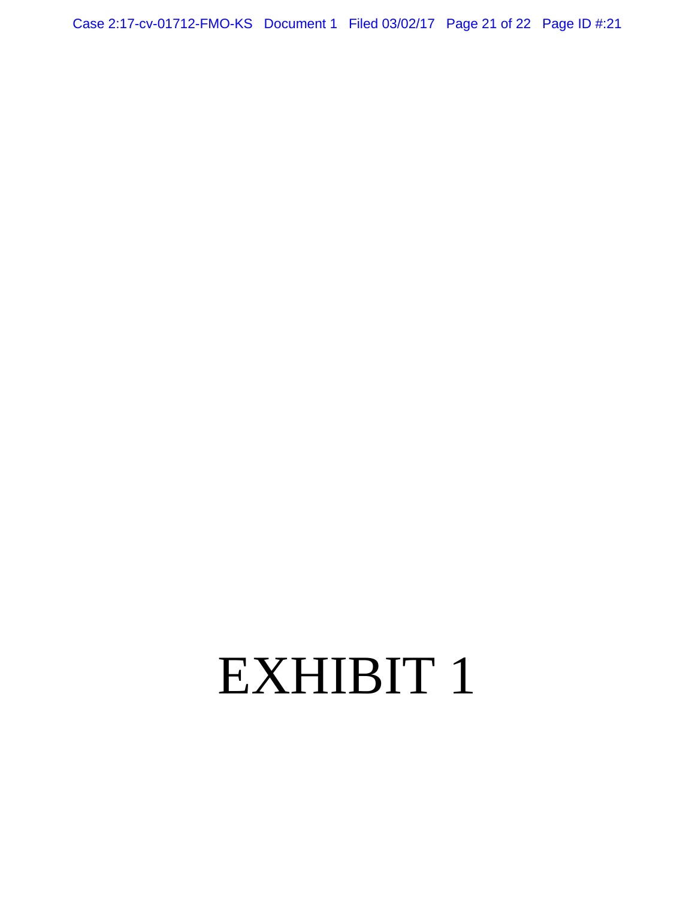Case 2:17-cv-01712-FMO-KS Document 1 Filed 03/02/17 Page 21 of 22 Page ID #:21

# EXHIBIT 1